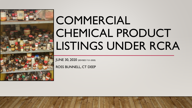

# **COMMERCIAL** CHEMICAL PRODUCT LISTINGS UNDER RCRA

JUNE 30, 2020 (REVISED 7-31-2020)

ROSS BUNNELL, CT DEEP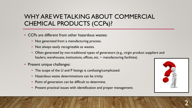# WHY ARE WE TALKING ABOUT COMMERCIAL CHEMICAL PRODUCTS (CCP**S**)?

- CCPs are different from other hazardous wastes:
	- Not generated from a manufacturing process.
	- Not always easily recognizable as wastes.
	- Often generated by non-traditional types of generators (e.g., virgin product suppliers and haulers, warehouses, institutions, offices, etc.  $\sim$  manufacturing facilities).
- Present unique challenges:
	- The scope of the U and P listings is confusing/complicated.
	- Hazardous waste determinations can be tricky.
	- Point of generation can be difficult to determine.
	- Present practical issues with identification and proper management.



2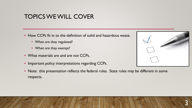### TOPICS WE WILL COVER

- How CCPs fit in to the definition of solid and hazardous waste.
	- When are they regulated?
	- When are they exempt?
- What materials are and are not CCPs.
- Important policy interpretations regarding CCPs.



• Note: this presentation reflects the federal rules. State rules may be different in some respects.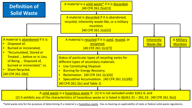

(2) It exhibits any of the characteristics of hazardous waste or is listed in  $\S$ §261.31 – 261.33. [40 CFR 261.3(a)]

\*Solid waste only for the purposes of determining if a material is a hazardous waste. Has no bearing on applicability of state or federal solid waste regulations.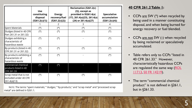|                                                                  | Use<br>constituting<br>disposal<br>(\$261.2(c)(1)) | <b>Energy</b><br>recovery/fuel<br>(\$261.2(c)(2)) | Reclamation (§261.2(c)<br>$(3)$ ), except as<br>provided in §§261.4(a)<br>$(17)$ , 261.4(a)(23), 261.4(a)<br>(24) or 261.4(a)(27) | Speculative<br>accumulation<br>(\$261.2(c)(4)) |
|------------------------------------------------------------------|----------------------------------------------------|---------------------------------------------------|-----------------------------------------------------------------------------------------------------------------------------------|------------------------------------------------|
|                                                                  |                                                    | 2                                                 | 3                                                                                                                                 | 4                                              |
| Spent Materials                                                  | (*)                                                | (*)                                               | (*)                                                                                                                               | (*)                                            |
| Sludges (listed in 40 CFR<br>Part 261.31 or 261.32)              | $(\star)$                                          | (*)                                               | (*)                                                                                                                               | $(\star)$                                      |
| Sludges exhibiting a<br>characteristic of<br>hazardous waste     | $(\star)$                                          | $(\star)$                                         |                                                                                                                                   | $(\star)$                                      |
| By-products (listed in 40<br>CFR 261.31 or 261.32)               | $(\star)$                                          | (*)                                               | (*)                                                                                                                               | $(\star)$                                      |
| By-products exhibiting a<br>characteristic of<br>hazardous waste | $(\star)$                                          | $(\star)$                                         |                                                                                                                                   | $(\star)$                                      |
| Commercial chemical<br>products listed in 40<br>CFR 261.33       | (*)                                                | $(\star)$                                         |                                                                                                                                   |                                                |
| Scrap metal that is not<br>excluded under 40 CFR<br>261.4(a)(13) | (*)                                                | (*)                                               | (*)                                                                                                                               | (*)                                            |

NOTE: The terms "spent materials," "sludges," "by-products," and "scrap metal" and "processed scrap metal" are defined in §261.1.

#### **40 CFR 261.2 Table 1:**

- CCPs  $\frac{are}{}$  SW  $(*)$  when recycled by being used in a manner constituting disposal, and when being burned for energy recovery or fuel blended.
- CCPs are not SW (-) when recycled by being reclaimed or speculatively accumulated.
- Table refers only to CCPs "listed in 40 CFR 261.33." However, characteristically hazardous CCPs [are regulated the same way \(ROL](https://rcrapublic.epa.gov/files/11713.pdf) 11713, [50 FR 14219\)](https://archive.epa.gov/epawaste/hazard/web/pdf/50fr1421604111985.pdf).
- The term "commercial chemical product" is not defined in §261.1, but in §261.33.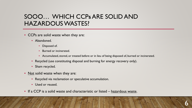# SOOO… WHICH CCP**<sup>S</sup>** ARE SOLID AND HAZARDOUS WASTES?

- CCPs are solid waste when they are:
	- Abandoned.
		- Disposed of.
		- Burned or incinerated.
		- Accumulated, stored, or treated before or in lieu of being disposed of, burned or incinerated.
	- Recycled (use constituting disposal and burning for energy recovery only).
	- Sham recycled.
- Not solid waste when they are:
	- Recycled via reclamation or speculative accumulation.
	- Used or reused.
- If a CCP is a solid waste and characteristic or listed hazardous waste.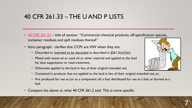#### 40 CFR 261.33 – THE U AND P LISTS

- [40 CFR 261.33](https://www.ecfr.gov/cgi-bin/text-idx?SID=1e6d31255b84b9747d0734a206d87428&mc=true&node=pt40.28.261&rgn=div5#se40.28.261_133) title of section: "Commercial chemical products, off-specification species, container residues, and spill residues thereof."
- Intro paragraph: clarifies that CCPs are HW when they are:
	- Discarded or <u>intended to be discarded</u> as described in §261.2(a)(2)(i);
	- Mixed with waste oil or used oil or other material and applied to the land for dust suppression or road treatment;
	- Otherwise applied to the land in lieu of their original intended use;
	- Contained in products that are applied to the land in lieu of their original intended use; or,
	- Are produced for use as (or as a component of) a fuel, distributed for use as a fuel, or burned as a fuel.
- Compare the above vs. what 40 CFR 261.2 said. This is more specific.

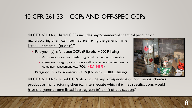## 40 CFR 261.33 – CCP**<sup>S</sup>** AND OFF-SPEC CCP**<sup>S</sup>**

- 40 CFR 261.33(a): listed CCPs includes any "commercial chemical product, or manufacturing chemical intermediate having the generic name listed in paragraph (e) or (f)."
	- Paragraph (e) is for acute CCPs (P-listed).  $\sim$  200 P listings.
		- Acute wastes are more highly regulated than non-acute wastes.
		- Generator category calculation, satellite accumulation limit, empty container management, etc. (ROL [14827](https://rcrapublic.epa.gov/files/14827.pdf), [14875\)](https://rcrapublic.epa.gov/files/14875.pdf).
	- Paragraph (f) is for non-acute CCPs (U-listed).  $\sim$  400 U listings.



• 40 CFR 261.33(b): listed CCPs also include any "off-specification commercial chemical product or manufacturing chemical intermediate which, if it met specifications, would have the generic name listed in paragraph (e) or (f) of this section."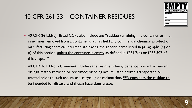

# 40 CFR 261.33 – CONTAINER RESIDUES

- 40 CFR 261.33(c): listed CCPs also include any "residue remaining in a container or in an inner liner removed from a container that has held any commercial chemical product or manufacturing chemical intermediate having the generic name listed in paragraphs (e) or (f) of this section, unless the container is empty as defined in §261.7(b) or §266.507 of this chapter."
- 40 CFR 261.33(c) Comment: "Unless the residue is being beneficially used or reused, or legitimately recycled or reclaimed; or being accumulated, stored, transported or treated prior to such use, re-use, recycling or reclamation, EPA considers the residue to be intended for discard, and thus, a hazardous waste."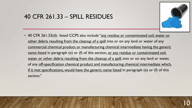#### 40 CFR 261.33 – SPILL RESIDUES



• 40 CFR 261.33(d): listed CCPS also include "any residue or contaminated soil, water or other debris resulting from the cleanup of a spill into or on any land or water of any commercial chemical product or manufacturing chemical intermediate having the generic name listed in paragraph (e) or (f) of this section, or any residue or contaminated soil, water or other debris resulting from the cleanup of a spill, into or on any land or water, of any off-specification chemical product and manufacturing chemical intermediate which, if it met specifications, would have the generic name listed in paragraph (e) or (f) of this section."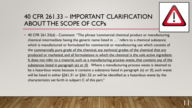# 40 CFR 261.33 – IMPORTANT CLARIFICATION ABOUT THE SCOPE OF CCP**<sup>S</sup>**



11

• 40 CFR 261.33(d) - Comment: "The phrase 'commercial chemical product or manufacturing chemical intermediate having the generic name listed in …' refers to a chemical substance which is manufactured or formulated for commercial or manufacturing use which consists of the commercially pure grade of the chemical, any technical grades of the chemical that are produced or marketed, and all formulations in which the chemical is the sole active ingredient. It does not refer to a material, such as a manufacturing process waste, that contains any of the substances listed in paragraph (e) or (f). Where a manufacturing process waste is deemed to be a hazardous waste because it contains a substance listed in paragraph (e) or (f), such waste will be listed in either §261.31 or §261.32 or will be identified as a hazardous waste by the characteristics set forth in subpart C of this part."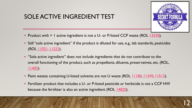# SOLE ACTIVE INGREDIENT TEST



- Product with > 1 active ingredient is not a U- or P-listed CCP waste (ROL [13530](https://rcrapublic.epa.gov/files/13530.pdf)).
- Still "sole active ingredient" if the product is diluted for use, e.g., lab standards, pesticides (ROL [11021,](https://rcrapublic.epa.gov/files/11021.pdf) [11523\)](https://rcrapublic.epa.gov/files/11523.pdf).
- "Sole active ingredient" does not include ingredients that do not contribute to the overall functioning of the product, such as propellants, diluents, preservatives, etc. (ROL, [11405\)](https://rcrapublic.epa.gov/files/11405.pdf).
- Paint wastes containing U-listed solvents are not U waste (ROL [11180](https://rcrapublic.epa.gov/files/11180.pdf), [11349](https://rcrapublic.epa.gov/files/11349.pdf), [11513](https://rcrapublic.epa.gov/files/11513.pdf)).
- Fertilizer product that includes a U- or P-listed pesticide or herbicide is not a CCP HW because the fertilizer is also an active ingredient (ROL [14820](https://rcrapublic.epa.gov/files/14820.pdf)).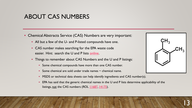#### ABOUT CAS NUMBERS

- Chemical Abstracts Service (CAS) Numbers are very important:
	- All but a few of the U- and P-listed compounds have one.
	- CAS number makes searching for the EPA waste code easier. Hint: search the U and P lists [online.](https://www.ecfr.gov/cgi-bin/text-idx?SID=1e6d31255b84b9747d0734a206d87428&mc=true&node=pt40.28.261&rgn=div5#se40.28.261_133)
	- Things to remember about CAS Numbers and the U and P listings:
		- Some chemical compounds have more than one CAS number.
		- Some chemical are sold under trade names  $\sim$  chemical name.
		- MSDS or technical data sheets can help identify ingredients and CAS number(s).
		- EPA has said that the generic chemical names in the U and P lists determine applicability of the listings, not the CAS numbers (ROL  $\overline{11687}$ ,  $\overline{14175}$ ).

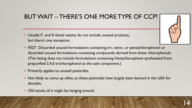# BUT WAIT – THERE'S ONE MORE TYPE OF CCP!

- Usually F- and K-listed wastes do not include unused products, but there's one exception.
- F027: Discarded unused formulations containing tri-, tetra-, or pentachlorophenol or discarded unused formulations containing compounds derived from these chlorophenols. (This listing does not include formulations containing Hexachlorophene synthesized from prepurified 2,4,5-trichlorophenol as the sole component.)
- Primarily applies to unused pesticides.
- Not likely to come up often, as these pesticides have largely been banned in the USA for decades.
- Old stocks of it might be hanging around.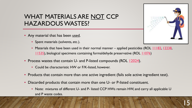# WHAT MATERIALS ARE NOT CCP HAZARDOUS WASTES?

- Any material that has been used.
	- Spent materials (solvents, etc.).
	- Materials that have been used in their normal manner applied pesticides (ROL [11182](https://rcrapublic.epa.gov/files/11182.pdf), [12238](https://rcrapublic.epa.gov/files/12238.pdf), [11535\)](https://rcrapublic.epa.gov/files/11535.pdf), biological specimens containing formaldehyde preservative (ROL [11076](https://rcrapublic.epa.gov/files/11076.pdf))
- Process wastes that contain U- and P-listed compounds (ROL [12024](https://rcrapublic.epa.gov/files/12024.pdf)).
	- Could be characteristic HW or F/K-listed, however.
- Products that contain more than one active ingredient (fails sole active ingredient test).
- Discarded products that contain more than one U- or P-listed constituent.
	- Note: mixtures of different U- and P- listed CCP HWs remain HW, and carry all applicable U and P waste codes.

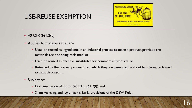

#### USE-REUSE EXEMPTION

- 40 CFR 261.2(e).
- Applies to materials that are:
	- Used or reused as ingredients in an industrial process to make a product, provided the materials are not being reclaimed; or
	- Used or reused as effective substitutes for commercial products; or
	- Returned to the original process from which they are generated, without first being reclaimed or land disposed….
- Subject to:
	- Documentation of claims (40 CFR 261.2(f)), and
	- Sham recycling and legitimacy criteria provisions of the DSW Rule.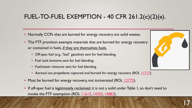# FUEL-TO-FUEL EXEMPTION - 40 CFR 261.2(**C**)(2)(**II**).

- Normally CCPs that are burned for energy recovery are solid wastes.
- The FTF provision exempts materials that are burned for energy recovery or contained in fuels, if they are themselves fuels.
	- Off-spec fuel (e.g., "bad" gasoline) sent for fuel blending.
	- Fuel tank bottoms sent for fuel blending.
	- Fuel/water mixtures sent for fuel blending.
	- Aerosol can propellants captured and burned for energy recovery (ROL [11717\)](https://rcrapublic.epa.gov/files/11717.pdf).
- Must be burned for energy recovery, not incinerated (ROL [12773](https://rcrapublic.epa.gov/files/12773.pdf)).
- If off-spec fuel is legitimately reclaimed, it is not a solid under Table 1, so don't need to invoke the FTF exemption (ROL  $11615$ , [14503](https://rcrapublic.epa.gov/files/14503.pdf), [14883\)](https://rcrapublic.epa.gov/files/14883.pdf).



17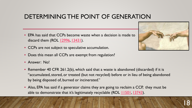# DETERMINING THE POINT OF GENERATION

- EPA has said that CCPs become waste when a decision is made to discard them (ROL [12996](https://rcrapublic.epa.gov/files/12996.pdf), [13431\)](https://rcrapublic.epa.gov/files/13431.pdf).
- CCPs are not subject to speculative accumulation.
- Does this mean all CCPs are exempt from regulation?
- Answer: No!
- Remember 40 CFR 261.2(b), which said that a waste is abandoned (discarded) if it is "accumulated, stored, or treated (but not recycled) before or in lieu of being abandoned by being disposed of, burned or incinerated."
- Also, EPA has said if a generator claims they are going to reclaim a CCP, they must be able to demonstrate that it's legitimately recyclable (ROL [11501](https://rcrapublic.epa.gov/files/11501.pdf), [13743](https://rcrapublic.epa.gov/files/13743.pdf)).

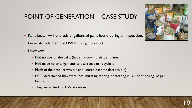#### POINT OF GENERATION – CASE STUDY

- Paint locker w/ hundreds of gallons of paint found during an inspection.
- Generator claimed not HW, but virgin product.
- However:
	- Had no use for the paint (had shut down their paint line).
	- Had made no arrangements to use, reuse or recycle it.
	- Much of the product was old and unusable (some decades old).
	- DEEP determined they were "accumulating, storing, or treating in lieu of disposing" as per §261.2(b).
	- They were cited for HW violations.

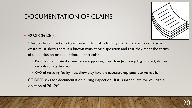# DOCUMENTATION OF CLAIMS

• 40 CFR 261.2(f).



- "Respondents in actions to enforce … RCRA" claiming that a material is not a solid waste must show there is a known market or disposition and that they meet the terms of the exclusion or exemption. In particular:
	- Provide appropriate documentation supporting their claim (e.g., recycling contract, shipping records to recyclers, etc.).
	- O/O of recycling facility must show they have the necessary equipment to recycle it.
- CT DEEP asks for documentation during inspection. If it is inadequate, we will cite a violation of 261.2(f).

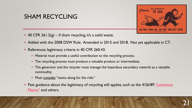

#### SHAM RECYCLING

- 40 CFR 261.2(g) if sham recycling, it's a solid waste.
- Added with the 2008 DSW Rule. Amended in 2015 and 2018. Not yet applicable in CT.
- References legitimacy criteria in 40 CFR 260.43:
	- Material must provide a useful contribution to the recycling process.
	- The recycling process must produce a valuable product or intermediate.
	- The generator and the recycler must manage the hazardous secondary material as a valuable commodity.
	- Must consider "toxics along for the ride."
- [Past guidance about the legitimacy of recycling still applies, such as the 4/26/89 "Lowrance](https://rcrapublic.epa.gov/files/11426.pdf) Memo" and others.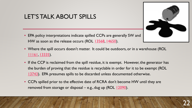

#### LET'S TALK ABOUT SPILLS

- EPA policy interpretations indicate spilled CCPs are generally SW and HW as soon as the release occurs (ROL [13568,](https://rcrapublic.epa.gov/files/13568.pdf) [14650\)](https://rcrapublic.epa.gov/files/14650.pdf).
- Where the spill occurs doesn't matter. It could be outdoors, or in a warehouse (ROL [11161,](https://rcrapublic.epa.gov/files/11161.pdf) [13335\)](https://rcrapublic.epa.gov/files/13335.pdf).
- If the CCP is reclaimed from the spill residue, it is exempt. However, the generator has the burden of proving that the residue is recyclable in order for it to be exempt (ROL [13743\)](https://rcrapublic.epa.gov/files/13743.pdf). EPA presumes spills to be discarded unless documented otherwise.
- CCPs spilled prior to the effective date of RCRA don't become HW until they are removed from storage or disposal – e.g., dug up  $(ROL 12090)$  $(ROL 12090)$ .

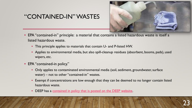#### "CONTAINED-IN" WASTES



- EPA "contained-in" principle: a material that contains a listed hazardous waste is itself a listed hazardous waste.
	- This principle applies to materials that contain U- and P-listed HW.
	- Applies to environmental media, but also spill-cleanup residues (absorbent, booms, pads), used wipers, etc.
- EPA "contained-in policy."
	- Only applies to contaminated environmental media (soil, sediment, groundwater, surface water) – not to other "contained-in" wastes.
	- Exempt if concentrations are low enough that they can be deemed to no longer contain listed hazardous waste.
	- DEEP has a [contained in policy that is posted on the DEEP website](https://portal.ct.gov/DEEP/Waste-Management-and-Disposal/Remediation-Waste/RCRA-Contained-In-Policy).

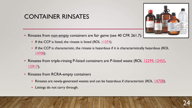# CONTAINER RINSATES

- Rinsates from non-empty containers are fair game (see 40 CFR 261.7):
- 

- If the CCP is listed, the rinsate is listed (ROL [11374](https://rcrapublic.epa.gov/files/11374.pdf)).
- If the CCP is characteristic, the rinsate is hazardous if it is characteristically hazardous (ROL [14708\)](https://rcrapublic.epa.gov/files/14708.pdf).
- Rinsates from triple-rinsing P-listed containers are P-listed waste (ROL [12299](https://rcrapublic.epa.gov/files/12299.pdf), [12455](https://rcrapublic.epa.gov/files/12455.pdf), [12917\)](https://rcrapublic.epa.gov/files/12917.pdf).
- Rinsates from RCRA-empty containers
	- Rinsates are newly-generated wastes and can be hazardous if characteristic (ROL [14708\)](https://rcrapublic.epa.gov/files/14708.pdf).
	- Listings do not carry through.

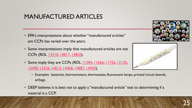# MANUFACTURED ARTICLES

- EPA's interpretations about whether "manufactured articles" are CCPs has varied over the years.
- Some interpretations imply that manufactured articles are not CCPs (ROL [13310,](https://rcrapublic.epa.gov/files/13310.pdf) [14817,](https://rcrapublic.epa.gov/rcraonline/results.xhtml) [14850\)](https://rcrapublic.epa.gov/files/14850.pdf).
- Some imply they are CCPs (ROL [11584,](https://rcrapublic.epa.gov/files/11584.pdf) [11666,](https://rcrapublic.epa.gov/files/11666.pdf) [11726,](https://rcrapublic.epa.gov/files/11726.pdf) [12120,](https://rcrapublic.epa.gov/files/12120.pdf) [13490,](https://rcrapublic.epa.gov/files/13490.pdf) [13356,](https://rcrapublic.epa.gov/files/13356.pdf) [14012,](https://rcrapublic.epa.gov/files/14012.pdf) [14468,](https://rcrapublic.epa.gov/files/14468.pdf) [14887](https://rcrapublic.epa.gov/files/14887.pdf), [14920](https://rcrapublic.epa.gov/files/14920.pdf)).





- Examples: batteries, thermometers, thermostats, fluorescent lamps, printed circuit boards, airbags.
- DEEP believes it is best not to apply a "manufactured article" test to determining if a material is a CCP.

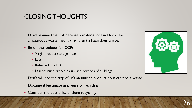# CLOSING THOUGHTS

- Don't assume that just because a material doesn't look like a hazardous waste means that it isn't a hazardous waste.
- Be on the lookout for CCPs:
	- Virgin product storage areas.
	- Labs.
	- Returned products.
	- Discontinued processes, unused portions of buildings.
- Don't fall into the trap of "it's an unused product, so it can't be a waste."
- Document legitimate use/reuse or recycling.
- Consider the possibility of sham recycling.



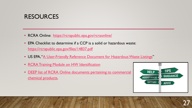#### **RESOURCES**

- RCRA Online: <https://rcrapublic.epa.gov/rcraonline/>
- EPA Checklist to determine if a CCP is a solid or hazardous waste: <https://rcrapublic.epa.gov/files/14837.pdf>
- US EPA, "[A User-Friendly Reference Document for Hazardous Waste Listings"](https://www.epa.gov/hw/user-friendly-reference-document-hazardous-waste-listings)
- [RCRA Training Module on HW Identification](https://www.epa.gov/rcra/resource-conservation-and-recovery-act-rcra-training-module-about-hazardous-waste)
- [DEEP list of RCRA Online documents pertaining to commercial](https://portal.ct.gov/-/media/DEEP/waste_management_and_disposal/hazardous_waste/List-of-EPA-Guidance-Docs-On-Commercial-Chemical-Products.pdf)  chemical products.



27